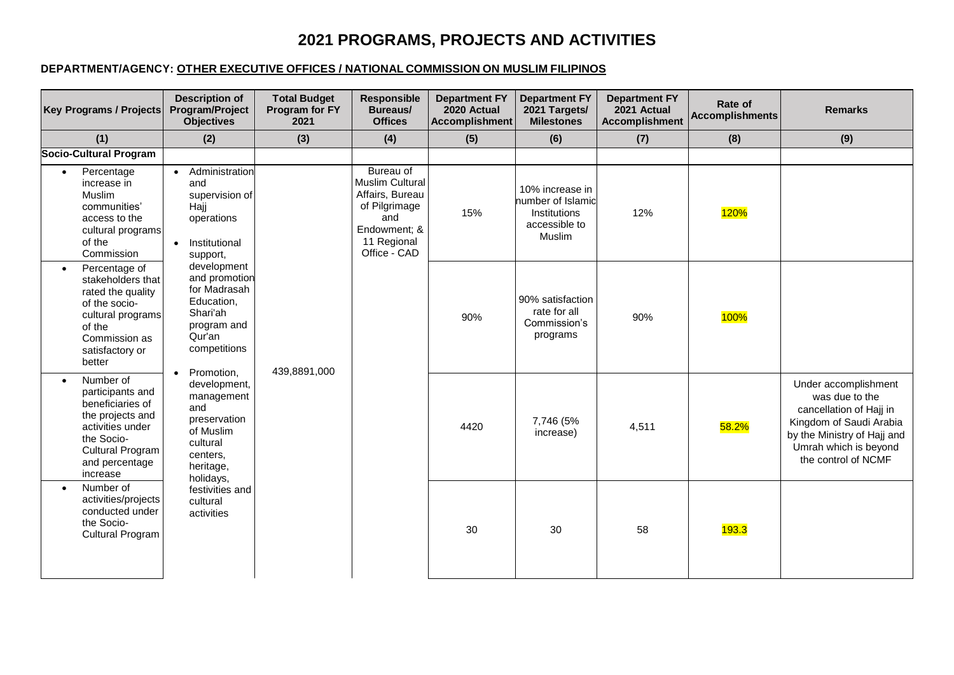## **2021 PROGRAMS, PROJECTS AND ACTIVITIES**

## **DEPARTMENT/AGENCY: OTHER EXECUTIVE OFFICES / NATIONAL COMMISSION ON MUSLIM FILIPINOS**

| <b>Key Programs / Projects</b>                                                                                                                                                | <b>Description of</b><br><b>Program/Project</b><br><b>Objectives</b>                                                                                                                                                                                                                                                                                                                                      | <b>Total Budget</b><br>Program for FY<br>2021 | <b>Responsible</b><br>Bureaus/<br><b>Offices</b>                                                                       | <b>Department FY</b><br>2020 Actual<br>Accomplishment | <b>Department FY</b><br>2021 Targets/<br><b>Milestones</b>                             | <b>Department FY</b><br>2021 Actual<br><b>Accomplishment</b> | Rate of<br>Accomplishments | <b>Remarks</b>                                                                                                                                                              |
|-------------------------------------------------------------------------------------------------------------------------------------------------------------------------------|-----------------------------------------------------------------------------------------------------------------------------------------------------------------------------------------------------------------------------------------------------------------------------------------------------------------------------------------------------------------------------------------------------------|-----------------------------------------------|------------------------------------------------------------------------------------------------------------------------|-------------------------------------------------------|----------------------------------------------------------------------------------------|--------------------------------------------------------------|----------------------------|-----------------------------------------------------------------------------------------------------------------------------------------------------------------------------|
| (1)                                                                                                                                                                           | (2)                                                                                                                                                                                                                                                                                                                                                                                                       | (3)                                           | (4)                                                                                                                    | (5)                                                   | (6)                                                                                    | (7)                                                          | (8)                        | (9)                                                                                                                                                                         |
| <b>Socio-Cultural Program</b>                                                                                                                                                 |                                                                                                                                                                                                                                                                                                                                                                                                           |                                               |                                                                                                                        |                                                       |                                                                                        |                                                              |                            |                                                                                                                                                                             |
| Percentage<br>$\bullet$<br>increase in<br>Muslim<br>communities'<br>access to the<br>cultural programs<br>of the<br>Commission                                                | Administration<br>and<br>supervision of<br>Hajj<br>operations<br>Institutional<br>$\bullet$<br>support,<br>development<br>and promotion<br>for Madrasah<br>Education,<br>Shari'ah<br>program and<br>Qur'an<br>competitions<br>Promotion,<br>development,<br>management<br>and<br>preservation<br>of Muslim<br>cultural<br>centers.<br>heritage,<br>holidays,<br>festivities and<br>cultural<br>activities | 439,8891,000                                  | Bureau of<br>Muslim Cultural<br>Affairs, Bureau<br>of Pilgrimage<br>and<br>Endowment; &<br>11 Regional<br>Office - CAD | 15%                                                   | 10% increase in<br>number of Islamic<br><b>Institutions</b><br>accessible to<br>Muslim | 12%                                                          | <b>120%</b>                |                                                                                                                                                                             |
| Percentage of<br>$\bullet$<br>stakeholders that<br>rated the quality<br>of the socio-<br>cultural programs<br>of the<br>Commission as<br>satisfactory or<br>better            |                                                                                                                                                                                                                                                                                                                                                                                                           |                                               |                                                                                                                        | 90%                                                   | 90% satisfaction<br>rate for all<br>Commission's<br>programs                           | 90%                                                          | <b>100%</b>                |                                                                                                                                                                             |
| Number of<br>$\bullet$<br>participants and<br>beneficiaries of<br>the projects and<br>activities under<br>the Socio-<br><b>Cultural Program</b><br>and percentage<br>increase |                                                                                                                                                                                                                                                                                                                                                                                                           |                                               |                                                                                                                        | 4420                                                  | 7,746 (5%<br>increase)                                                                 | 4,511                                                        | 58.2%                      | Under accomplishment<br>was due to the<br>cancellation of Hajj in<br>Kingdom of Saudi Arabia<br>by the Ministry of Hajj and<br>Umrah which is beyond<br>the control of NCMF |
| Number of<br>activities/projects<br>conducted under<br>the Socio-<br><b>Cultural Program</b>                                                                                  |                                                                                                                                                                                                                                                                                                                                                                                                           |                                               |                                                                                                                        | 30                                                    | 30                                                                                     | 58                                                           | 193.3                      |                                                                                                                                                                             |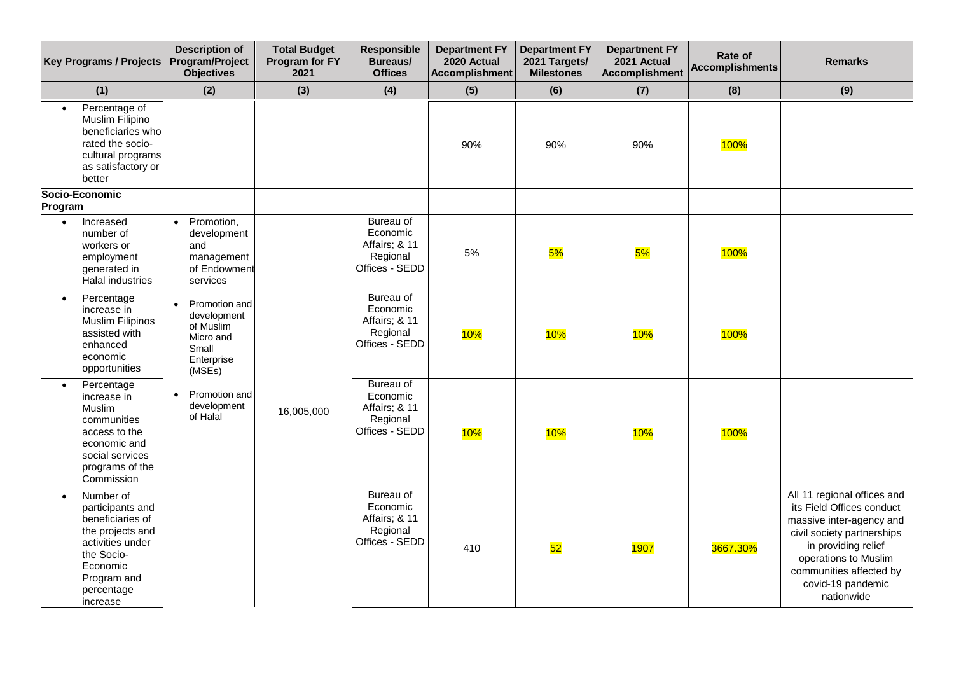| <b>Key Programs / Projects</b>                                                                                                                               | <b>Description of</b><br>Program/Project<br><b>Objectives</b>                                        | <b>Total Budget</b><br>Program for FY<br>2021 | <b>Responsible</b><br><b>Bureaus/</b><br><b>Offices</b>                     | <b>Department FY</b><br>2020 Actual<br><b>Accomplishment</b> | <b>Department FY</b><br>2021 Targets/<br><b>Milestones</b> | <b>Department FY</b><br>2021 Actual<br><b>Accomplishment</b> | Rate of<br><b>Accomplishments</b> | <b>Remarks</b>                                                                                                                                                                                                                  |
|--------------------------------------------------------------------------------------------------------------------------------------------------------------|------------------------------------------------------------------------------------------------------|-----------------------------------------------|-----------------------------------------------------------------------------|--------------------------------------------------------------|------------------------------------------------------------|--------------------------------------------------------------|-----------------------------------|---------------------------------------------------------------------------------------------------------------------------------------------------------------------------------------------------------------------------------|
| (1)                                                                                                                                                          | (2)                                                                                                  | (3)                                           | (4)                                                                         | (5)                                                          | (6)                                                        | (7)                                                          | (8)                               | (9)                                                                                                                                                                                                                             |
| Percentage of<br>Muslim Filipino<br>beneficiaries who<br>rated the socio-<br>cultural programs<br>as satisfactory or<br>better                               |                                                                                                      |                                               |                                                                             | 90%                                                          | 90%                                                        | 90%                                                          | <b>100%</b>                       |                                                                                                                                                                                                                                 |
| Socio-Economic<br>Program                                                                                                                                    |                                                                                                      |                                               |                                                                             |                                                              |                                                            |                                                              |                                   |                                                                                                                                                                                                                                 |
| Increased<br>number of<br>workers or<br>employment<br>generated in<br>Halal industries                                                                       | Promotion,<br>$\bullet$<br>development<br>and<br>management<br>of Endowmen<br>services               |                                               | Bureau of<br>Economic<br>Affairs; & 11<br>Regional<br>Offices - SEDD        | 5%                                                           | 5%                                                         | 5%                                                           | 100%                              |                                                                                                                                                                                                                                 |
| Percentage<br>$\bullet$<br>increase in<br>Muslim Filipinos<br>assisted with<br>enhanced<br>economic<br>opportunities                                         | Promotion and<br>$\bullet$<br>development<br>of Muslim<br>Micro and<br>Small<br>Enterprise<br>(MSEs) |                                               | Bureau of<br>Economic<br>Affairs; & 11<br>Regional<br>Offices - SEDD        | 10%                                                          | 10%                                                        | 10%                                                          | 100%                              |                                                                                                                                                                                                                                 |
| Percentage<br>increase in<br>Muslim<br>communities<br>access to the<br>economic and<br>social services<br>programs of the<br>Commission                      | Promotion and<br>$\bullet$<br>development<br>of Halal                                                | 16,005,000                                    | <b>Bureau of</b><br>Economic<br>Affairs; & 11<br>Regional<br>Offices - SEDD | 10%                                                          | 10%                                                        | 10%                                                          | 100%                              |                                                                                                                                                                                                                                 |
| Number of<br>participants and<br>beneficiaries of<br>the projects and<br>activities under<br>the Socio-<br>Economic<br>Program and<br>percentage<br>increase |                                                                                                      |                                               | Bureau of<br>Economic<br>Affairs; & 11<br>Regional<br>Offices - SEDD        | 410                                                          | 52                                                         | 1907                                                         | 3667.30%                          | All 11 regional offices and<br>its Field Offices conduct<br>massive inter-agency and<br>civil society partnerships<br>in providing relief<br>operations to Muslim<br>communities affected by<br>covid-19 pandemic<br>nationwide |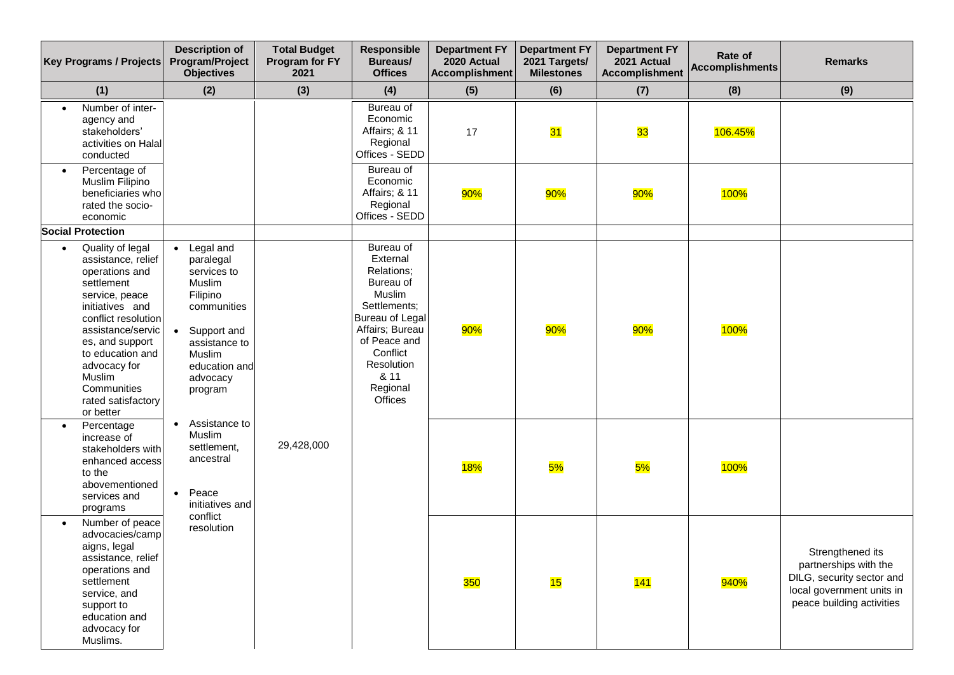|           | Key Programs / Projects                                                                                                                                                                                                                                                    | <b>Description of</b><br>Program/Project<br><b>Objectives</b>                                                                                                | <b>Total Budget</b><br>Program for FY<br>2021 | Responsible<br><b>Bureaus/</b><br><b>Offices</b>                                                                                                                                          | <b>Department FY</b><br>2020 Actual<br><b>Accomplishment</b> | <b>Department FY</b><br>2021 Targets/<br><b>Milestones</b> | <b>Department FY</b><br>2021 Actual<br><b>Accomplishment</b> | Rate of<br><b>Accomplishments</b> | <b>Remarks</b>                                                                                                                   |
|-----------|----------------------------------------------------------------------------------------------------------------------------------------------------------------------------------------------------------------------------------------------------------------------------|--------------------------------------------------------------------------------------------------------------------------------------------------------------|-----------------------------------------------|-------------------------------------------------------------------------------------------------------------------------------------------------------------------------------------------|--------------------------------------------------------------|------------------------------------------------------------|--------------------------------------------------------------|-----------------------------------|----------------------------------------------------------------------------------------------------------------------------------|
|           | (1)                                                                                                                                                                                                                                                                        | (2)                                                                                                                                                          | (3)                                           | (4)                                                                                                                                                                                       | (5)                                                          | (6)                                                        | (7)                                                          | (8)                               | (9)                                                                                                                              |
|           | Number of inter-<br>agency and<br>stakeholders'<br>activities on Halal<br>conducted                                                                                                                                                                                        |                                                                                                                                                              |                                               | Bureau of<br>Economic<br>Affairs; & 11<br>Regional<br>Offices - SEDD                                                                                                                      | 17                                                           | 31                                                         | 33                                                           | 106.45%                           |                                                                                                                                  |
| $\bullet$ | Percentage of<br>Muslim Filipino<br>beneficiaries who<br>rated the socio-<br>economic                                                                                                                                                                                      |                                                                                                                                                              |                                               | Bureau of<br>Economic<br>Affairs; & 11<br>Regional<br>Offices - SEDD                                                                                                                      | 90%                                                          | 90%                                                        | 90%                                                          | <b>100%</b>                       |                                                                                                                                  |
|           | <b>Social Protection</b>                                                                                                                                                                                                                                                   |                                                                                                                                                              |                                               |                                                                                                                                                                                           |                                                              |                                                            |                                                              |                                   |                                                                                                                                  |
| $\bullet$ | Quality of legal<br>assistance, relief<br>operations and<br>settlement<br>service, peace<br>initiatives and<br>conflict resolution<br>assistance/servic<br>es, and support<br>to education and<br>advocacy for<br>Muslim<br>Communities<br>rated satisfactory<br>or better | Legal and<br>paralegal<br>services to<br>Muslim<br>Filipino<br>communities<br>Support and<br>assistance to<br>Muslim<br>education and<br>advocacy<br>program |                                               | Bureau of<br>External<br>Relations;<br>Bureau of<br>Muslim<br>Settlements:<br>Bureau of Legal<br>Affairs; Bureau<br>of Peace and<br>Conflict<br>Resolution<br>& 11<br>Regional<br>Offices | 90%                                                          | 90%                                                        | 90%                                                          | 100%                              |                                                                                                                                  |
| $\bullet$ | Percentage<br>increase of<br>stakeholders with<br>enhanced access<br>to the<br>abovementioned<br>services and<br>programs                                                                                                                                                  | Assistance to<br>Muslim<br>settlement,<br>ancestral<br>Peace<br>$\bullet$<br>initiatives and                                                                 | 29,428,000                                    |                                                                                                                                                                                           | <b>18%</b>                                                   | 5%                                                         | 5%                                                           | <b>100%</b>                       |                                                                                                                                  |
|           | Number of peace<br>advocacies/camp<br>aigns, legal<br>assistance, relief<br>operations and<br>settlement<br>service, and<br>support to<br>education and<br>advocacy for<br>Muslims.                                                                                        | conflict<br>resolution                                                                                                                                       |                                               |                                                                                                                                                                                           | 350                                                          | 15                                                         | 141                                                          | 940%                              | Strengthened its<br>partnerships with the<br>DILG, security sector and<br>local government units in<br>peace building activities |